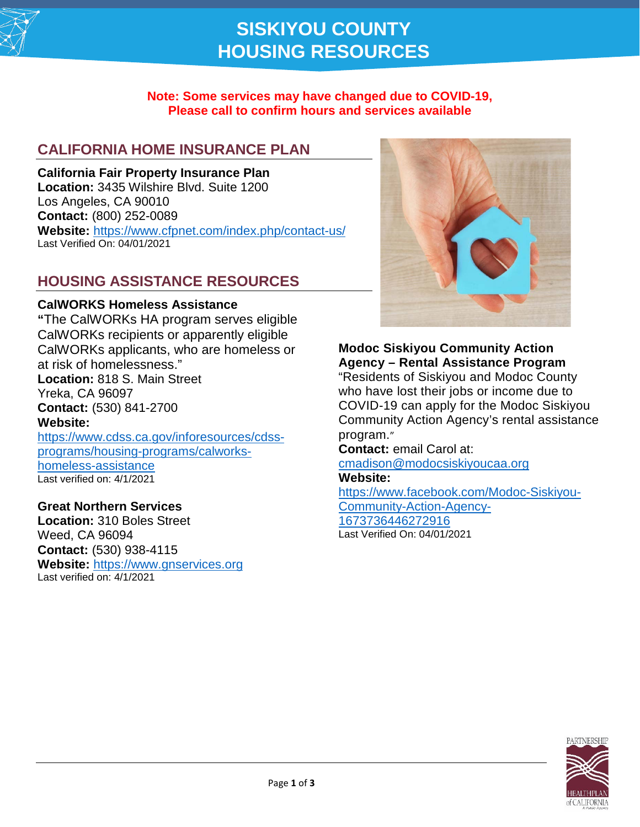

# **SISKIYOU COUNTY HOUSING RESOURCES**

#### **Note: Some services may have changed due to COVID-19, Please call to confirm hours and services available**

# **CALIFORNIA HOME INSURANCE PLAN**

**California Fair Property Insurance Plan Location:** 3435 Wilshire Blvd. Suite 1200 Los Angeles, CA 90010 **Contact:** (800) 252-0089 **Website:** <https://www.cfpnet.com/index.php/contact-us/> Last Verified On: 04/01/2021

### **HOUSING ASSISTANCE RESOURCES**

#### **CalWORKS Homeless Assistance**

**"**The CalWORKs HA program serves eligible CalWORKs recipients or apparently eligible CalWORKs applicants, who are homeless or at risk of homelessness." **Location:** 818 S. Main Street Yreka, CA 96097 **Contact:** (530) 841-2700 **Website:** https://www.cdss.ca.gov/inforesources/cdssprograms/housing-programs/calworks-

homeless-assistance Last verified on: 4/1/2021

#### **Great Northern Services**

**Location:** 310 Boles Street Weed, CA 96094 **Contact:** (530) 938-4115 **Website:** [https://www.gnservices.org](https://www.gnservices.org/) Last verified on: 4/1/2021



### **Modoc Siskiyou Community Action Agency – Rental Assistance Program**

"Residents of Siskiyou and Modoc County who have lost their jobs or income due to COVID-19 can apply for the Modoc Siskiyou Community Action Agency's rental assistance program."

### **Contact:** email Carol at:

[cmadison@modocsiskiyoucaa.org](mailto:cmadison@modocsiskiyoucaa.org)

#### **Website:**

[https://www.facebook.com/Modoc-Siskiyou-](https://www.facebook.com/Modoc-Siskiyou-Community-Action-Agency-1673736446272916)[Community-Action-Agency-](https://www.facebook.com/Modoc-Siskiyou-Community-Action-Agency-1673736446272916)[1673736446272916](https://www.facebook.com/Modoc-Siskiyou-Community-Action-Agency-1673736446272916) Last Verified On: 04/01/2021



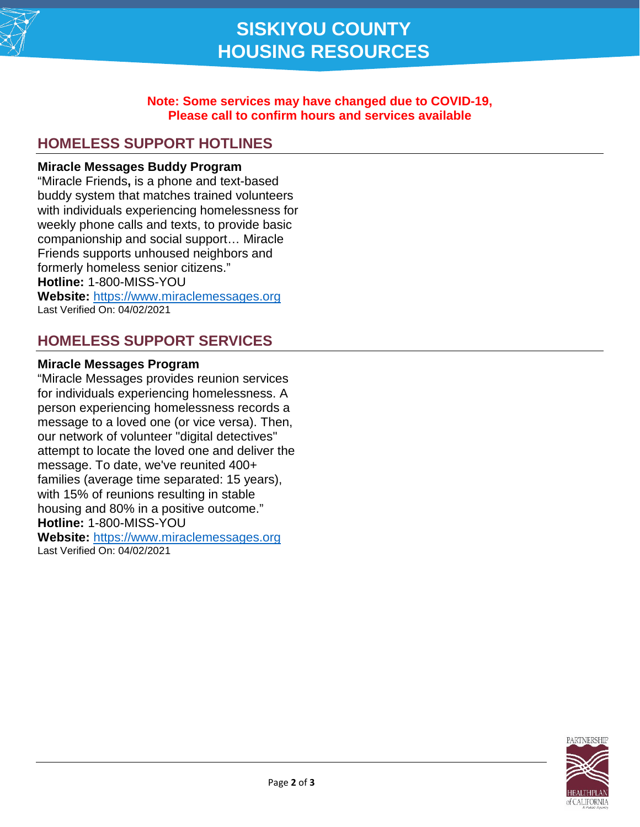

#### **Note: Some services may have changed due to COVID-19, Please call to confirm hours and services available**

# **HOMELESS SUPPORT HOTLINES**

#### **Miracle Messages Buddy Program**

"Miracle Friends**,** is a phone and text-based buddy system that matches trained volunteers with individuals experiencing homelessness for weekly phone calls and texts, to provide basic companionship and social support… Miracle Friends supports unhoused neighbors and formerly homeless senior citizens." **Hotline:** 1-800-MISS-YOU **Website:** [https://www.miraclemessages.org](https://www.miraclemessages.org/) Last Verified On: 04/02/2021

### **HOMELESS SUPPORT SERVICES**

#### **Miracle Messages Program**

"Miracle Messages provides reunion services for individuals experiencing homelessness. A person experiencing homelessness records a message to a loved one (or vice versa). Then, our network of volunteer "digital detectives" attempt to locate the loved one and deliver the message. To date, we've reunited 400+ families (average time separated: 15 years), with 15% of reunions resulting in stable housing and 80% in a positive outcome." **Hotline:** 1-800-MISS-YOU

**Website:** [https://www.miraclemessages.org](https://www.miraclemessages.org/) Last Verified On: 04/02/2021